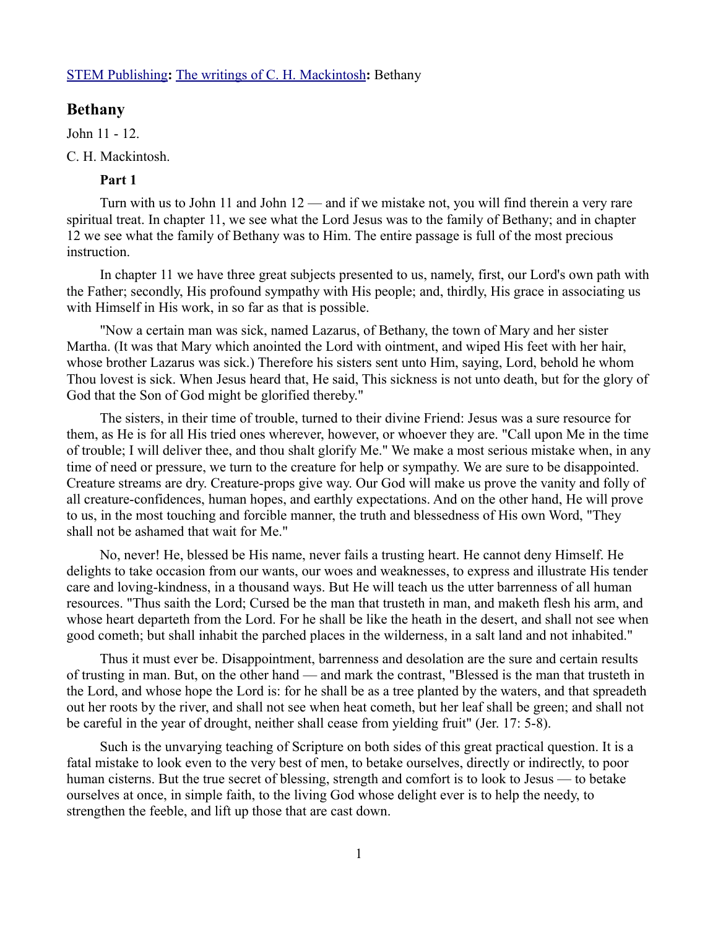### [STEM Publishing](http://www.stempublishing.com/)**:** [The writings of C. H. Mackintosh](http://www.stempublishing.com/authors/mackintosh/index.html)**:** Bethany

## **Bethany**

John 11 - 12.

## C. H. Mackintosh.

# **Part 1**

Turn with us to John 11 and John 12 — and if we mistake not, you will find therein a very rare spiritual treat. In chapter 11, we see what the Lord Jesus was to the family of Bethany; and in chapter 12 we see what the family of Bethany was to Him. The entire passage is full of the most precious instruction.

In chapter 11 we have three great subjects presented to us, namely, first, our Lord's own path with the Father; secondly, His profound sympathy with His people; and, thirdly, His grace in associating us with Himself in His work, in so far as that is possible.

"Now a certain man was sick, named Lazarus, of Bethany, the town of Mary and her sister Martha. (It was that Mary which anointed the Lord with ointment, and wiped His feet with her hair, whose brother Lazarus was sick.) Therefore his sisters sent unto Him, saying, Lord, behold he whom Thou lovest is sick. When Jesus heard that, He said, This sickness is not unto death, but for the glory of God that the Son of God might be glorified thereby."

The sisters, in their time of trouble, turned to their divine Friend: Jesus was a sure resource for them, as He is for all His tried ones wherever, however, or whoever they are. "Call upon Me in the time of trouble; I will deliver thee, and thou shalt glorify Me." We make a most serious mistake when, in any time of need or pressure, we turn to the creature for help or sympathy. We are sure to be disappointed. Creature streams are dry. Creature-props give way. Our God will make us prove the vanity and folly of all creature-confidences, human hopes, and earthly expectations. And on the other hand, He will prove to us, in the most touching and forcible manner, the truth and blessedness of His own Word, "They shall not be ashamed that wait for Me."

No, never! He, blessed be His name, never fails a trusting heart. He cannot deny Himself. He delights to take occasion from our wants, our woes and weaknesses, to express and illustrate His tender care and loving-kindness, in a thousand ways. But He will teach us the utter barrenness of all human resources. "Thus saith the Lord; Cursed be the man that trusteth in man, and maketh flesh his arm, and whose heart departeth from the Lord. For he shall be like the heath in the desert, and shall not see when good cometh; but shall inhabit the parched places in the wilderness, in a salt land and not inhabited."

Thus it must ever be. Disappointment, barrenness and desolation are the sure and certain results of trusting in man. But, on the other hand — and mark the contrast, "Blessed is the man that trusteth in the Lord, and whose hope the Lord is: for he shall be as a tree planted by the waters, and that spreadeth out her roots by the river, and shall not see when heat cometh, but her leaf shall be green; and shall not be careful in the year of drought, neither shall cease from yielding fruit" (Jer. 17: 5-8).

Such is the unvarying teaching of Scripture on both sides of this great practical question. It is a fatal mistake to look even to the very best of men, to betake ourselves, directly or indirectly, to poor human cisterns. But the true secret of blessing, strength and comfort is to look to Jesus — to betake ourselves at once, in simple faith, to the living God whose delight ever is to help the needy, to strengthen the feeble, and lift up those that are cast down.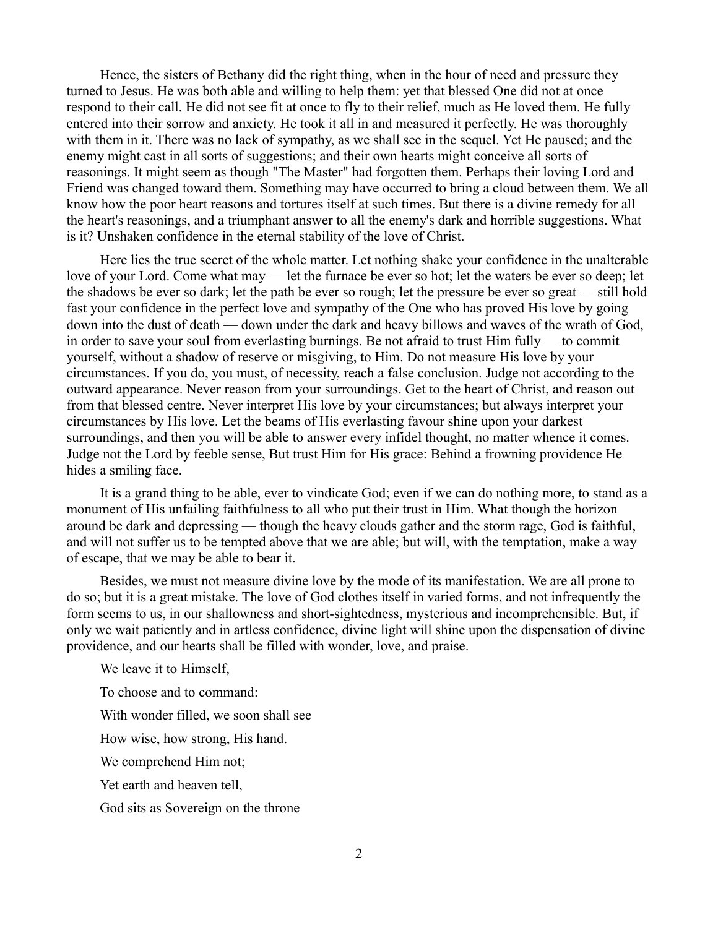Hence, the sisters of Bethany did the right thing, when in the hour of need and pressure they turned to Jesus. He was both able and willing to help them: yet that blessed One did not at once respond to their call. He did not see fit at once to fly to their relief, much as He loved them. He fully entered into their sorrow and anxiety. He took it all in and measured it perfectly. He was thoroughly with them in it. There was no lack of sympathy, as we shall see in the sequel. Yet He paused; and the enemy might cast in all sorts of suggestions; and their own hearts might conceive all sorts of reasonings. It might seem as though "The Master" had forgotten them. Perhaps their loving Lord and Friend was changed toward them. Something may have occurred to bring a cloud between them. We all know how the poor heart reasons and tortures itself at such times. But there is a divine remedy for all the heart's reasonings, and a triumphant answer to all the enemy's dark and horrible suggestions. What is it? Unshaken confidence in the eternal stability of the love of Christ.

Here lies the true secret of the whole matter. Let nothing shake your confidence in the unalterable love of your Lord. Come what may — let the furnace be ever so hot; let the waters be ever so deep; let the shadows be ever so dark; let the path be ever so rough; let the pressure be ever so great — still hold fast your confidence in the perfect love and sympathy of the One who has proved His love by going down into the dust of death — down under the dark and heavy billows and waves of the wrath of God, in order to save your soul from everlasting burnings. Be not afraid to trust Him fully — to commit yourself, without a shadow of reserve or misgiving, to Him. Do not measure His love by your circumstances. If you do, you must, of necessity, reach a false conclusion. Judge not according to the outward appearance. Never reason from your surroundings. Get to the heart of Christ, and reason out from that blessed centre. Never interpret His love by your circumstances; but always interpret your circumstances by His love. Let the beams of His everlasting favour shine upon your darkest surroundings, and then you will be able to answer every infidel thought, no matter whence it comes. Judge not the Lord by feeble sense, But trust Him for His grace: Behind a frowning providence He hides a smiling face.

It is a grand thing to be able, ever to vindicate God; even if we can do nothing more, to stand as a monument of His unfailing faithfulness to all who put their trust in Him. What though the horizon around be dark and depressing — though the heavy clouds gather and the storm rage, God is faithful, and will not suffer us to be tempted above that we are able; but will, with the temptation, make a way of escape, that we may be able to bear it.

Besides, we must not measure divine love by the mode of its manifestation. We are all prone to do so; but it is a great mistake. The love of God clothes itself in varied forms, and not infrequently the form seems to us, in our shallowness and short-sightedness, mysterious and incomprehensible. But, if only we wait patiently and in artless confidence, divine light will shine upon the dispensation of divine providence, and our hearts shall be filled with wonder, love, and praise.

We leave it to Himself,

To choose and to command:

With wonder filled, we soon shall see

How wise, how strong, His hand.

We comprehend Him not;

Yet earth and heaven tell,

God sits as Sovereign on the throne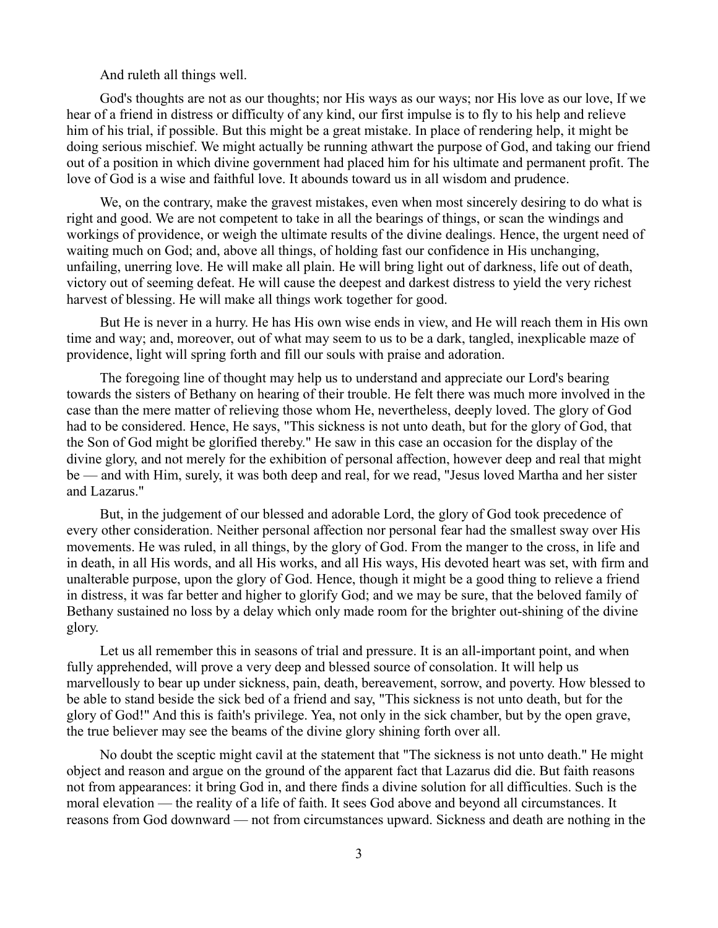And ruleth all things well.

God's thoughts are not as our thoughts; nor His ways as our ways; nor His love as our love, If we hear of a friend in distress or difficulty of any kind, our first impulse is to fly to his help and relieve him of his trial, if possible. But this might be a great mistake. In place of rendering help, it might be doing serious mischief. We might actually be running athwart the purpose of God, and taking our friend out of a position in which divine government had placed him for his ultimate and permanent profit. The love of God is a wise and faithful love. It abounds toward us in all wisdom and prudence.

We, on the contrary, make the gravest mistakes, even when most sincerely desiring to do what is right and good. We are not competent to take in all the bearings of things, or scan the windings and workings of providence, or weigh the ultimate results of the divine dealings. Hence, the urgent need of waiting much on God; and, above all things, of holding fast our confidence in His unchanging, unfailing, unerring love. He will make all plain. He will bring light out of darkness, life out of death, victory out of seeming defeat. He will cause the deepest and darkest distress to yield the very richest harvest of blessing. He will make all things work together for good.

But He is never in a hurry. He has His own wise ends in view, and He will reach them in His own time and way; and, moreover, out of what may seem to us to be a dark, tangled, inexplicable maze of providence, light will spring forth and fill our souls with praise and adoration.

The foregoing line of thought may help us to understand and appreciate our Lord's bearing towards the sisters of Bethany on hearing of their trouble. He felt there was much more involved in the case than the mere matter of relieving those whom He, nevertheless, deeply loved. The glory of God had to be considered. Hence, He says, "This sickness is not unto death, but for the glory of God, that the Son of God might be glorified thereby." He saw in this case an occasion for the display of the divine glory, and not merely for the exhibition of personal affection, however deep and real that might be — and with Him, surely, it was both deep and real, for we read, "Jesus loved Martha and her sister and Lazarus."

But, in the judgement of our blessed and adorable Lord, the glory of God took precedence of every other consideration. Neither personal affection nor personal fear had the smallest sway over His movements. He was ruled, in all things, by the glory of God. From the manger to the cross, in life and in death, in all His words, and all His works, and all His ways, His devoted heart was set, with firm and unalterable purpose, upon the glory of God. Hence, though it might be a good thing to relieve a friend in distress, it was far better and higher to glorify God; and we may be sure, that the beloved family of Bethany sustained no loss by a delay which only made room for the brighter out-shining of the divine glory.

Let us all remember this in seasons of trial and pressure. It is an all-important point, and when fully apprehended, will prove a very deep and blessed source of consolation. It will help us marvellously to bear up under sickness, pain, death, bereavement, sorrow, and poverty. How blessed to be able to stand beside the sick bed of a friend and say, "This sickness is not unto death, but for the glory of God!" And this is faith's privilege. Yea, not only in the sick chamber, but by the open grave, the true believer may see the beams of the divine glory shining forth over all.

No doubt the sceptic might cavil at the statement that "The sickness is not unto death." He might object and reason and argue on the ground of the apparent fact that Lazarus did die. But faith reasons not from appearances: it bring God in, and there finds a divine solution for all difficulties. Such is the moral elevation — the reality of a life of faith. It sees God above and beyond all circumstances. It reasons from God downward — not from circumstances upward. Sickness and death are nothing in the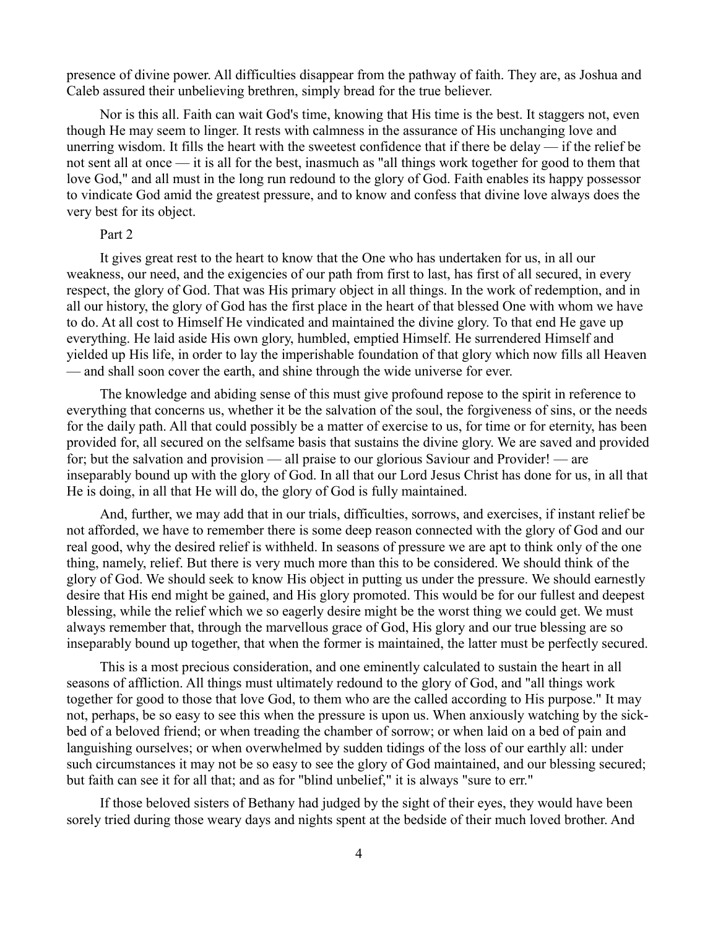presence of divine power. All difficulties disappear from the pathway of faith. They are, as Joshua and Caleb assured their unbelieving brethren, simply bread for the true believer.

Nor is this all. Faith can wait God's time, knowing that His time is the best. It staggers not, even though He may seem to linger. It rests with calmness in the assurance of His unchanging love and unerring wisdom. It fills the heart with the sweetest confidence that if there be delay — if the relief be not sent all at once — it is all for the best, inasmuch as "all things work together for good to them that love God," and all must in the long run redound to the glory of God. Faith enables its happy possessor to vindicate God amid the greatest pressure, and to know and confess that divine love always does the very best for its object.

# Part 2

It gives great rest to the heart to know that the One who has undertaken for us, in all our weakness, our need, and the exigencies of our path from first to last, has first of all secured, in every respect, the glory of God. That was His primary object in all things. In the work of redemption, and in all our history, the glory of God has the first place in the heart of that blessed One with whom we have to do. At all cost to Himself He vindicated and maintained the divine glory. To that end He gave up everything. He laid aside His own glory, humbled, emptied Himself. He surrendered Himself and yielded up His life, in order to lay the imperishable foundation of that glory which now fills all Heaven — and shall soon cover the earth, and shine through the wide universe for ever.

The knowledge and abiding sense of this must give profound repose to the spirit in reference to everything that concerns us, whether it be the salvation of the soul, the forgiveness of sins, or the needs for the daily path. All that could possibly be a matter of exercise to us, for time or for eternity, has been provided for, all secured on the selfsame basis that sustains the divine glory. We are saved and provided for; but the salvation and provision — all praise to our glorious Saviour and Provider! — are inseparably bound up with the glory of God. In all that our Lord Jesus Christ has done for us, in all that He is doing, in all that He will do, the glory of God is fully maintained.

And, further, we may add that in our trials, difficulties, sorrows, and exercises, if instant relief be not afforded, we have to remember there is some deep reason connected with the glory of God and our real good, why the desired relief is withheld. In seasons of pressure we are apt to think only of the one thing, namely, relief. But there is very much more than this to be considered. We should think of the glory of God. We should seek to know His object in putting us under the pressure. We should earnestly desire that His end might be gained, and His glory promoted. This would be for our fullest and deepest blessing, while the relief which we so eagerly desire might be the worst thing we could get. We must always remember that, through the marvellous grace of God, His glory and our true blessing are so inseparably bound up together, that when the former is maintained, the latter must be perfectly secured.

This is a most precious consideration, and one eminently calculated to sustain the heart in all seasons of affliction. All things must ultimately redound to the glory of God, and "all things work together for good to those that love God, to them who are the called according to His purpose." It may not, perhaps, be so easy to see this when the pressure is upon us. When anxiously watching by the sickbed of a beloved friend; or when treading the chamber of sorrow; or when laid on a bed of pain and languishing ourselves; or when overwhelmed by sudden tidings of the loss of our earthly all: under such circumstances it may not be so easy to see the glory of God maintained, and our blessing secured; but faith can see it for all that; and as for "blind unbelief," it is always "sure to err."

If those beloved sisters of Bethany had judged by the sight of their eyes, they would have been sorely tried during those weary days and nights spent at the bedside of their much loved brother. And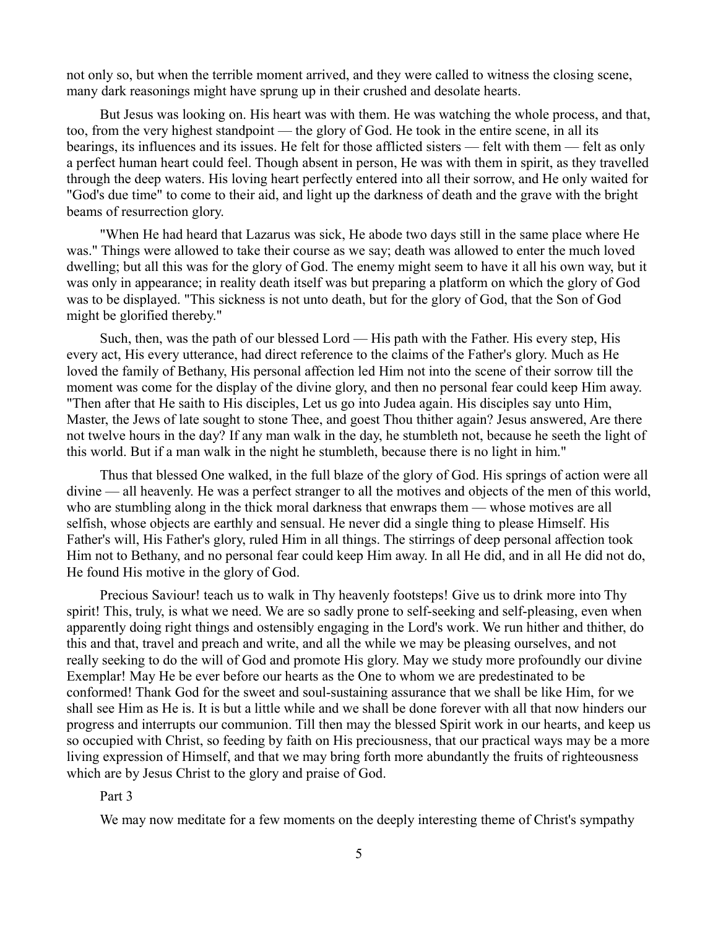not only so, but when the terrible moment arrived, and they were called to witness the closing scene, many dark reasonings might have sprung up in their crushed and desolate hearts.

But Jesus was looking on. His heart was with them. He was watching the whole process, and that, too, from the very highest standpoint — the glory of God. He took in the entire scene, in all its bearings, its influences and its issues. He felt for those afflicted sisters — felt with them — felt as only a perfect human heart could feel. Though absent in person, He was with them in spirit, as they travelled through the deep waters. His loving heart perfectly entered into all their sorrow, and He only waited for "God's due time" to come to their aid, and light up the darkness of death and the grave with the bright beams of resurrection glory.

"When He had heard that Lazarus was sick, He abode two days still in the same place where He was." Things were allowed to take their course as we say; death was allowed to enter the much loved dwelling; but all this was for the glory of God. The enemy might seem to have it all his own way, but it was only in appearance; in reality death itself was but preparing a platform on which the glory of God was to be displayed. "This sickness is not unto death, but for the glory of God, that the Son of God might be glorified thereby."

Such, then, was the path of our blessed Lord — His path with the Father. His every step, His every act, His every utterance, had direct reference to the claims of the Father's glory. Much as He loved the family of Bethany, His personal affection led Him not into the scene of their sorrow till the moment was come for the display of the divine glory, and then no personal fear could keep Him away. "Then after that He saith to His disciples, Let us go into Judea again. His disciples say unto Him, Master, the Jews of late sought to stone Thee, and goest Thou thither again? Jesus answered, Are there not twelve hours in the day? If any man walk in the day, he stumbleth not, because he seeth the light of this world. But if a man walk in the night he stumbleth, because there is no light in him."

Thus that blessed One walked, in the full blaze of the glory of God. His springs of action were all divine — all heavenly. He was a perfect stranger to all the motives and objects of the men of this world, who are stumbling along in the thick moral darkness that enwraps them — whose motives are all selfish, whose objects are earthly and sensual. He never did a single thing to please Himself. His Father's will, His Father's glory, ruled Him in all things. The stirrings of deep personal affection took Him not to Bethany, and no personal fear could keep Him away. In all He did, and in all He did not do, He found His motive in the glory of God.

Precious Saviour! teach us to walk in Thy heavenly footsteps! Give us to drink more into Thy spirit! This, truly, is what we need. We are so sadly prone to self-seeking and self-pleasing, even when apparently doing right things and ostensibly engaging in the Lord's work. We run hither and thither, do this and that, travel and preach and write, and all the while we may be pleasing ourselves, and not really seeking to do the will of God and promote His glory. May we study more profoundly our divine Exemplar! May He be ever before our hearts as the One to whom we are predestinated to be conformed! Thank God for the sweet and soul-sustaining assurance that we shall be like Him, for we shall see Him as He is. It is but a little while and we shall be done forever with all that now hinders our progress and interrupts our communion. Till then may the blessed Spirit work in our hearts, and keep us so occupied with Christ, so feeding by faith on His preciousness, that our practical ways may be a more living expression of Himself, and that we may bring forth more abundantly the fruits of righteousness which are by Jesus Christ to the glory and praise of God.

### Part 3

We may now meditate for a few moments on the deeply interesting theme of Christ's sympathy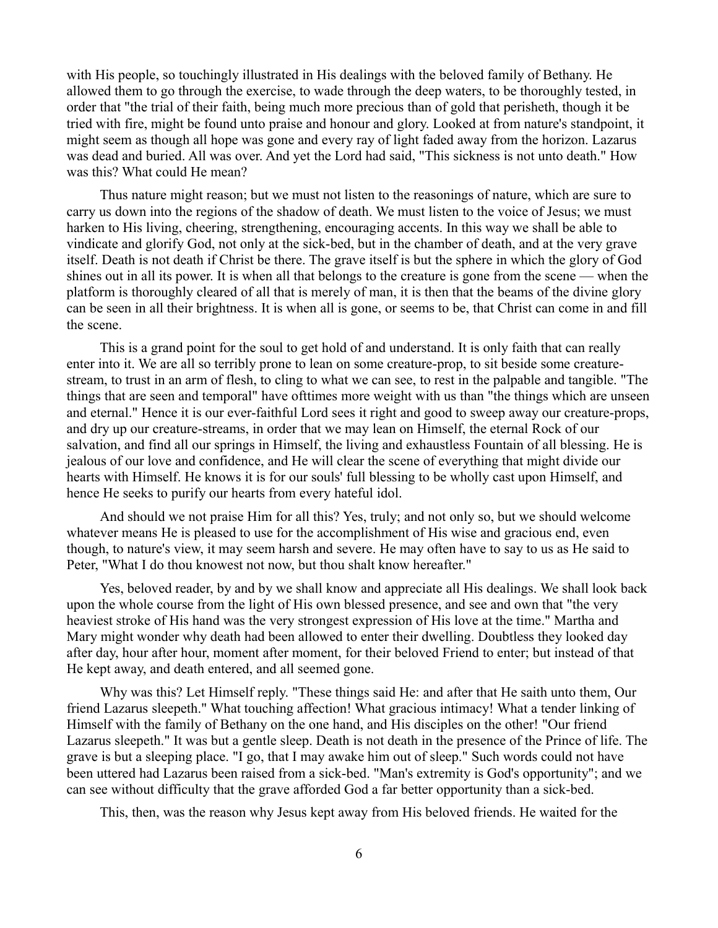with His people, so touchingly illustrated in His dealings with the beloved family of Bethany. He allowed them to go through the exercise, to wade through the deep waters, to be thoroughly tested, in order that "the trial of their faith, being much more precious than of gold that perisheth, though it be tried with fire, might be found unto praise and honour and glory. Looked at from nature's standpoint, it might seem as though all hope was gone and every ray of light faded away from the horizon. Lazarus was dead and buried. All was over. And yet the Lord had said, "This sickness is not unto death." How was this? What could He mean?

Thus nature might reason; but we must not listen to the reasonings of nature, which are sure to carry us down into the regions of the shadow of death. We must listen to the voice of Jesus; we must harken to His living, cheering, strengthening, encouraging accents. In this way we shall be able to vindicate and glorify God, not only at the sick-bed, but in the chamber of death, and at the very grave itself. Death is not death if Christ be there. The grave itself is but the sphere in which the glory of God shines out in all its power. It is when all that belongs to the creature is gone from the scene — when the platform is thoroughly cleared of all that is merely of man, it is then that the beams of the divine glory can be seen in all their brightness. It is when all is gone, or seems to be, that Christ can come in and fill the scene.

This is a grand point for the soul to get hold of and understand. It is only faith that can really enter into it. We are all so terribly prone to lean on some creature-prop, to sit beside some creaturestream, to trust in an arm of flesh, to cling to what we can see, to rest in the palpable and tangible. "The things that are seen and temporal" have ofttimes more weight with us than "the things which are unseen and eternal." Hence it is our ever-faithful Lord sees it right and good to sweep away our creature-props, and dry up our creature-streams, in order that we may lean on Himself, the eternal Rock of our salvation, and find all our springs in Himself, the living and exhaustless Fountain of all blessing. He is jealous of our love and confidence, and He will clear the scene of everything that might divide our hearts with Himself. He knows it is for our souls' full blessing to be wholly cast upon Himself, and hence He seeks to purify our hearts from every hateful idol.

And should we not praise Him for all this? Yes, truly; and not only so, but we should welcome whatever means He is pleased to use for the accomplishment of His wise and gracious end, even though, to nature's view, it may seem harsh and severe. He may often have to say to us as He said to Peter, "What I do thou knowest not now, but thou shalt know hereafter."

Yes, beloved reader, by and by we shall know and appreciate all His dealings. We shall look back upon the whole course from the light of His own blessed presence, and see and own that "the very heaviest stroke of His hand was the very strongest expression of His love at the time." Martha and Mary might wonder why death had been allowed to enter their dwelling. Doubtless they looked day after day, hour after hour, moment after moment, for their beloved Friend to enter; but instead of that He kept away, and death entered, and all seemed gone.

Why was this? Let Himself reply. "These things said He: and after that He saith unto them, Our friend Lazarus sleepeth." What touching affection! What gracious intimacy! What a tender linking of Himself with the family of Bethany on the one hand, and His disciples on the other! "Our friend Lazarus sleepeth." It was but a gentle sleep. Death is not death in the presence of the Prince of life. The grave is but a sleeping place. "I go, that I may awake him out of sleep." Such words could not have been uttered had Lazarus been raised from a sick-bed. "Man's extremity is God's opportunity"; and we can see without difficulty that the grave afforded God a far better opportunity than a sick-bed.

This, then, was the reason why Jesus kept away from His beloved friends. He waited for the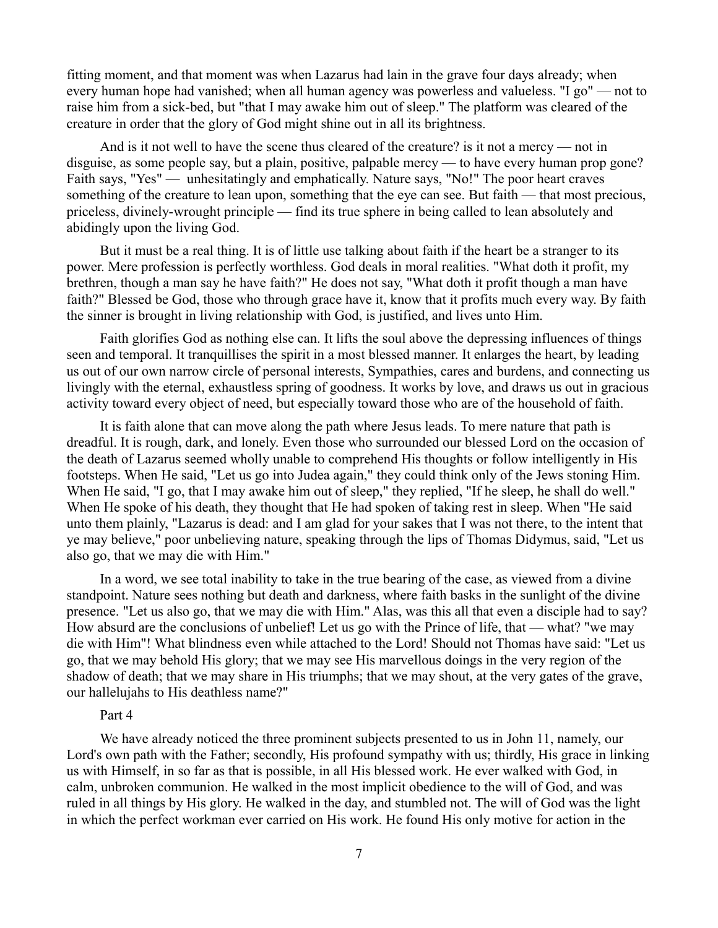fitting moment, and that moment was when Lazarus had lain in the grave four days already; when every human hope had vanished; when all human agency was powerless and valueless. "I go" — not to raise him from a sick-bed, but "that I may awake him out of sleep." The platform was cleared of the creature in order that the glory of God might shine out in all its brightness.

And is it not well to have the scene thus cleared of the creature? is it not a mercy — not in disguise, as some people say, but a plain, positive, palpable mercy — to have every human prop gone? Faith says, "Yes" — unhesitatingly and emphatically. Nature says, "No!" The poor heart craves something of the creature to lean upon, something that the eye can see. But faith — that most precious, priceless, divinely-wrought principle — find its true sphere in being called to lean absolutely and abidingly upon the living God.

But it must be a real thing. It is of little use talking about faith if the heart be a stranger to its power. Mere profession is perfectly worthless. God deals in moral realities. "What doth it profit, my brethren, though a man say he have faith?" He does not say, "What doth it profit though a man have faith?" Blessed be God, those who through grace have it, know that it profits much every way. By faith the sinner is brought in living relationship with God, is justified, and lives unto Him.

Faith glorifies God as nothing else can. It lifts the soul above the depressing influences of things seen and temporal. It tranquillises the spirit in a most blessed manner. It enlarges the heart, by leading us out of our own narrow circle of personal interests, Sympathies, cares and burdens, and connecting us livingly with the eternal, exhaustless spring of goodness. It works by love, and draws us out in gracious activity toward every object of need, but especially toward those who are of the household of faith.

It is faith alone that can move along the path where Jesus leads. To mere nature that path is dreadful. It is rough, dark, and lonely. Even those who surrounded our blessed Lord on the occasion of the death of Lazarus seemed wholly unable to comprehend His thoughts or follow intelligently in His footsteps. When He said, "Let us go into Judea again," they could think only of the Jews stoning Him. When He said, "I go, that I may awake him out of sleep," they replied, "If he sleep, he shall do well." When He spoke of his death, they thought that He had spoken of taking rest in sleep. When "He said unto them plainly, "Lazarus is dead: and I am glad for your sakes that I was not there, to the intent that ye may believe," poor unbelieving nature, speaking through the lips of Thomas Didymus, said, "Let us also go, that we may die with Him."

In a word, we see total inability to take in the true bearing of the case, as viewed from a divine standpoint. Nature sees nothing but death and darkness, where faith basks in the sunlight of the divine presence. "Let us also go, that we may die with Him." Alas, was this all that even a disciple had to say? How absurd are the conclusions of unbelief! Let us go with the Prince of life, that — what? "we may die with Him"! What blindness even while attached to the Lord! Should not Thomas have said: "Let us go, that we may behold His glory; that we may see His marvellous doings in the very region of the shadow of death; that we may share in His triumphs; that we may shout, at the very gates of the grave, our hallelujahs to His deathless name?"

### Part 4

We have already noticed the three prominent subjects presented to us in John 11, namely, our Lord's own path with the Father; secondly, His profound sympathy with us; thirdly, His grace in linking us with Himself, in so far as that is possible, in all His blessed work. He ever walked with God, in calm, unbroken communion. He walked in the most implicit obedience to the will of God, and was ruled in all things by His glory. He walked in the day, and stumbled not. The will of God was the light in which the perfect workman ever carried on His work. He found His only motive for action in the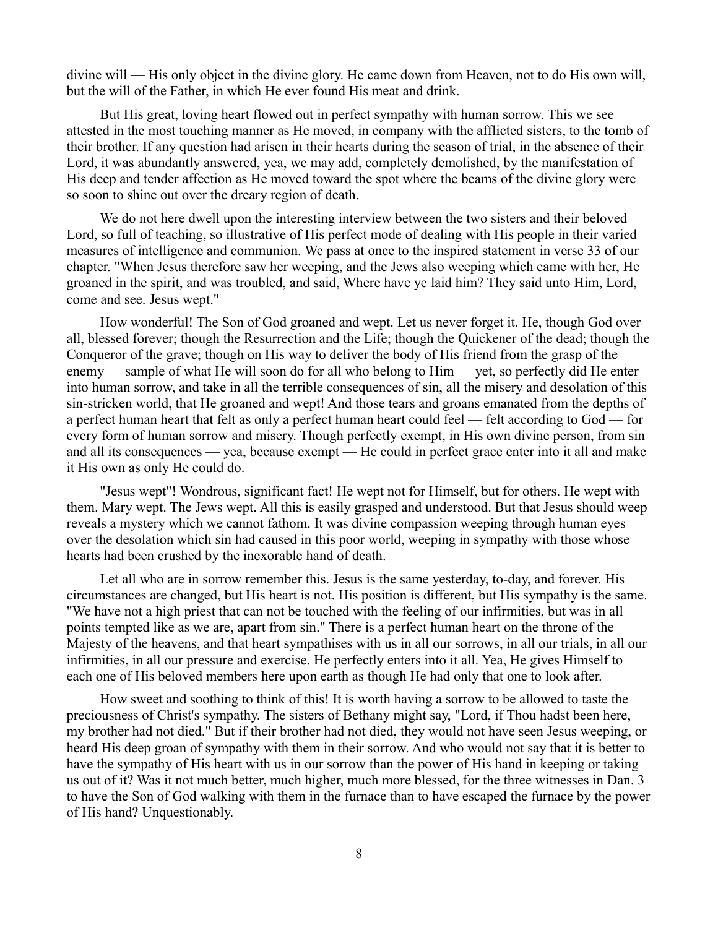divine will — His only object in the divine glory. He came down from Heaven, not to do His own will, but the will of the Father, in which He ever found His meat and drink.

But His great, loving heart flowed out in perfect sympathy with human sorrow. This we see attested in the most touching manner as He moved, in company with the afflicted sisters, to the tomb of their brother. If any question had arisen in their hearts during the season of trial, in the absence of their Lord, it was abundantly answered, yea, we may add, completely demolished, by the manifestation of His deep and tender affection as He moved toward the spot where the beams of the divine glory were so soon to shine out over the dreary region of death.

We do not here dwell upon the interesting interview between the two sisters and their beloved Lord, so full of teaching, so illustrative of His perfect mode of dealing with His people in their varied measures of intelligence and communion. We pass at once to the inspired statement in verse 33 of our chapter. "When Jesus therefore saw her weeping, and the Jews also weeping which came with her, He groaned in the spirit, and was troubled, and said, Where have ye laid him? They said unto Him, Lord, come and see. Jesus wept."

How wonderful! The Son of God groaned and wept. Let us never forget it. He, though God over all, blessed forever; though the Resurrection and the Life; though the Quickener of the dead; though the Conqueror of the grave; though on His way to deliver the body of His friend from the grasp of the enemy — sample of what He will soon do for all who belong to Him — yet, so perfectly did He enter into human sorrow, and take in all the terrible consequences of sin, all the misery and desolation of this sin-stricken world, that He groaned and wept! And those tears and groans emanated from the depths of a perfect human heart that felt as only a perfect human heart could feel — felt according to God — for every form of human sorrow and misery. Though perfectly exempt, in His own divine person, from sin and all its consequences — yea, because exempt — He could in perfect grace enter into it all and make it His own as only He could do.

"Jesus wept"! Wondrous, significant fact! He wept not for Himself, but for others. He wept with them. Mary wept. The Jews wept. All this is easily grasped and understood. But that Jesus should weep reveals a mystery which we cannot fathom. It was divine compassion weeping through human eyes over the desolation which sin had caused in this poor world, weeping in sympathy with those whose hearts had been crushed by the inexorable hand of death.

Let all who are in sorrow remember this. Jesus is the same yesterday, to-day, and forever. His circumstances are changed, but His heart is not. His position is different, but His sympathy is the same. "We have not a high priest that can not be touched with the feeling of our infirmities, but was in all points tempted like as we are, apart from sin." There is a perfect human heart on the throne of the Majesty of the heavens, and that heart sympathises with us in all our sorrows, in all our trials, in all our infirmities, in all our pressure and exercise. He perfectly enters into it all. Yea, He gives Himself to each one of His beloved members here upon earth as though He had only that one to look after.

How sweet and soothing to think of this! It is worth having a sorrow to be allowed to taste the preciousness of Christ's sympathy. The sisters of Bethany might say, "Lord, if Thou hadst been here, my brother had not died." But if their brother had not died, they would not have seen Jesus weeping, or heard His deep groan of sympathy with them in their sorrow. And who would not say that it is better to have the sympathy of His heart with us in our sorrow than the power of His hand in keeping or taking us out of it? Was it not much better, much higher, much more blessed, for the three witnesses in Dan. 3 to have the Son of God walking with them in the furnace than to have escaped the furnace by the power of His hand? Unquestionably.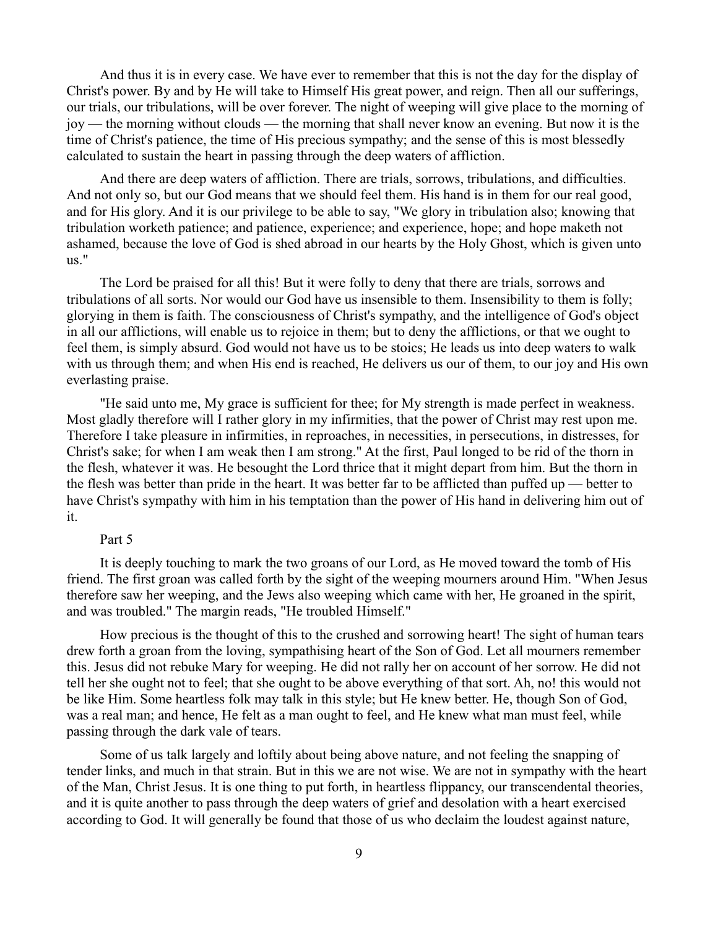And thus it is in every case. We have ever to remember that this is not the day for the display of Christ's power. By and by He will take to Himself His great power, and reign. Then all our sufferings, our trials, our tribulations, will be over forever. The night of weeping will give place to the morning of joy — the morning without clouds — the morning that shall never know an evening. But now it is the time of Christ's patience, the time of His precious sympathy; and the sense of this is most blessedly calculated to sustain the heart in passing through the deep waters of affliction.

And there are deep waters of affliction. There are trials, sorrows, tribulations, and difficulties. And not only so, but our God means that we should feel them. His hand is in them for our real good, and for His glory. And it is our privilege to be able to say, "We glory in tribulation also; knowing that tribulation worketh patience; and patience, experience; and experience, hope; and hope maketh not ashamed, because the love of God is shed abroad in our hearts by the Holy Ghost, which is given unto us."

The Lord be praised for all this! But it were folly to deny that there are trials, sorrows and tribulations of all sorts. Nor would our God have us insensible to them. Insensibility to them is folly; glorying in them is faith. The consciousness of Christ's sympathy, and the intelligence of God's object in all our afflictions, will enable us to rejoice in them; but to deny the afflictions, or that we ought to feel them, is simply absurd. God would not have us to be stoics; He leads us into deep waters to walk with us through them; and when His end is reached, He delivers us our of them, to our joy and His own everlasting praise.

"He said unto me, My grace is sufficient for thee; for My strength is made perfect in weakness. Most gladly therefore will I rather glory in my infirmities, that the power of Christ may rest upon me. Therefore I take pleasure in infirmities, in reproaches, in necessities, in persecutions, in distresses, for Christ's sake; for when I am weak then I am strong." At the first, Paul longed to be rid of the thorn in the flesh, whatever it was. He besought the Lord thrice that it might depart from him. But the thorn in the flesh was better than pride in the heart. It was better far to be afflicted than puffed up — better to have Christ's sympathy with him in his temptation than the power of His hand in delivering him out of it.

#### Part 5

It is deeply touching to mark the two groans of our Lord, as He moved toward the tomb of His friend. The first groan was called forth by the sight of the weeping mourners around Him. "When Jesus therefore saw her weeping, and the Jews also weeping which came with her, He groaned in the spirit, and was troubled." The margin reads, "He troubled Himself."

How precious is the thought of this to the crushed and sorrowing heart! The sight of human tears drew forth a groan from the loving, sympathising heart of the Son of God. Let all mourners remember this. Jesus did not rebuke Mary for weeping. He did not rally her on account of her sorrow. He did not tell her she ought not to feel; that she ought to be above everything of that sort. Ah, no! this would not be like Him. Some heartless folk may talk in this style; but He knew better. He, though Son of God, was a real man; and hence, He felt as a man ought to feel, and He knew what man must feel, while passing through the dark vale of tears.

Some of us talk largely and loftily about being above nature, and not feeling the snapping of tender links, and much in that strain. But in this we are not wise. We are not in sympathy with the heart of the Man, Christ Jesus. It is one thing to put forth, in heartless flippancy, our transcendental theories, and it is quite another to pass through the deep waters of grief and desolation with a heart exercised according to God. It will generally be found that those of us who declaim the loudest against nature,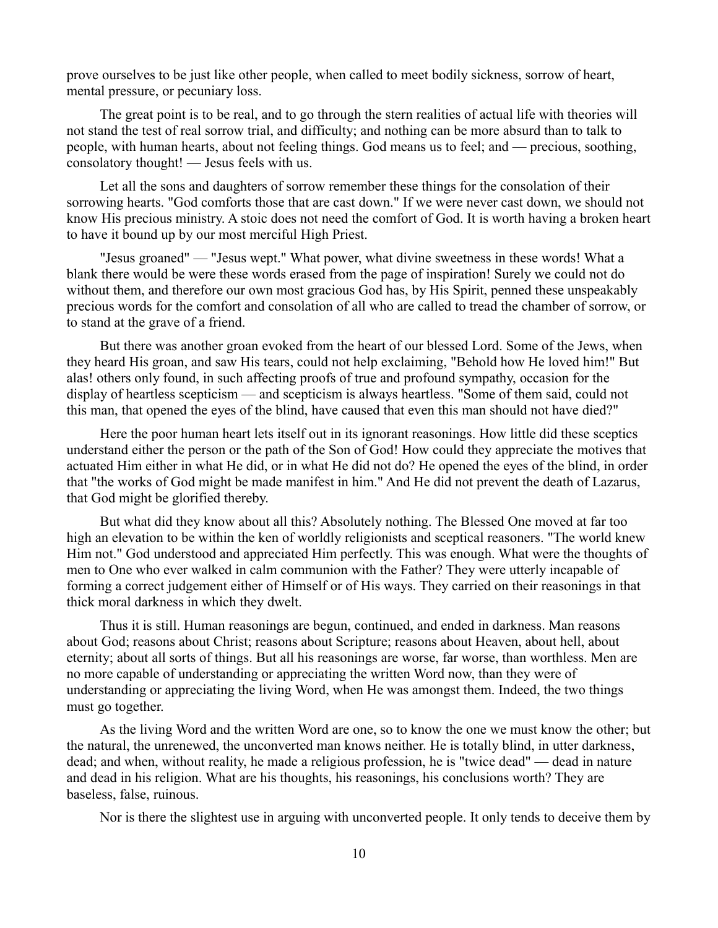prove ourselves to be just like other people, when called to meet bodily sickness, sorrow of heart, mental pressure, or pecuniary loss.

The great point is to be real, and to go through the stern realities of actual life with theories will not stand the test of real sorrow trial, and difficulty; and nothing can be more absurd than to talk to people, with human hearts, about not feeling things. God means us to feel; and — precious, soothing, consolatory thought! — Jesus feels with us.

Let all the sons and daughters of sorrow remember these things for the consolation of their sorrowing hearts. "God comforts those that are cast down." If we were never cast down, we should not know His precious ministry. A stoic does not need the comfort of God. It is worth having a broken heart to have it bound up by our most merciful High Priest.

"Jesus groaned" — "Jesus wept." What power, what divine sweetness in these words! What a blank there would be were these words erased from the page of inspiration! Surely we could not do without them, and therefore our own most gracious God has, by His Spirit, penned these unspeakably precious words for the comfort and consolation of all who are called to tread the chamber of sorrow, or to stand at the grave of a friend.

But there was another groan evoked from the heart of our blessed Lord. Some of the Jews, when they heard His groan, and saw His tears, could not help exclaiming, "Behold how He loved him!" But alas! others only found, in such affecting proofs of true and profound sympathy, occasion for the display of heartless scepticism — and scepticism is always heartless. "Some of them said, could not this man, that opened the eyes of the blind, have caused that even this man should not have died?"

Here the poor human heart lets itself out in its ignorant reasonings. How little did these sceptics understand either the person or the path of the Son of God! How could they appreciate the motives that actuated Him either in what He did, or in what He did not do? He opened the eyes of the blind, in order that "the works of God might be made manifest in him." And He did not prevent the death of Lazarus, that God might be glorified thereby.

But what did they know about all this? Absolutely nothing. The Blessed One moved at far too high an elevation to be within the ken of worldly religionists and sceptical reasoners. "The world knew Him not." God understood and appreciated Him perfectly. This was enough. What were the thoughts of men to One who ever walked in calm communion with the Father? They were utterly incapable of forming a correct judgement either of Himself or of His ways. They carried on their reasonings in that thick moral darkness in which they dwelt.

Thus it is still. Human reasonings are begun, continued, and ended in darkness. Man reasons about God; reasons about Christ; reasons about Scripture; reasons about Heaven, about hell, about eternity; about all sorts of things. But all his reasonings are worse, far worse, than worthless. Men are no more capable of understanding or appreciating the written Word now, than they were of understanding or appreciating the living Word, when He was amongst them. Indeed, the two things must go together.

As the living Word and the written Word are one, so to know the one we must know the other; but the natural, the unrenewed, the unconverted man knows neither. He is totally blind, in utter darkness, dead; and when, without reality, he made a religious profession, he is "twice dead" — dead in nature and dead in his religion. What are his thoughts, his reasonings, his conclusions worth? They are baseless, false, ruinous.

Nor is there the slightest use in arguing with unconverted people. It only tends to deceive them by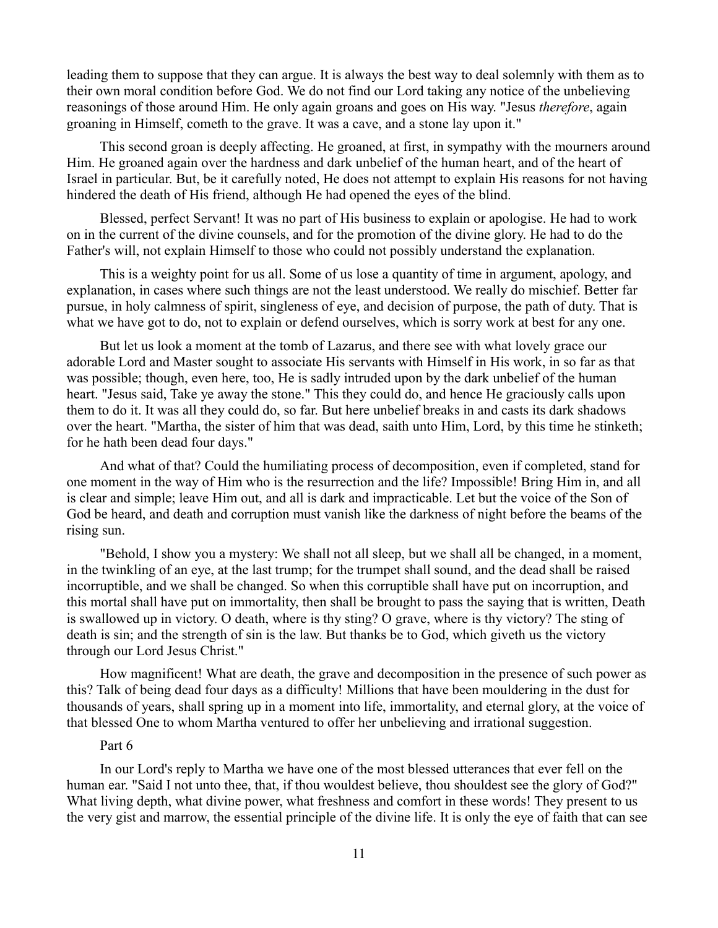leading them to suppose that they can argue. It is always the best way to deal solemnly with them as to their own moral condition before God. We do not find our Lord taking any notice of the unbelieving reasonings of those around Him. He only again groans and goes on His way. "Jesus *therefore*, again groaning in Himself, cometh to the grave. It was a cave, and a stone lay upon it."

This second groan is deeply affecting. He groaned, at first, in sympathy with the mourners around Him. He groaned again over the hardness and dark unbelief of the human heart, and of the heart of Israel in particular. But, be it carefully noted, He does not attempt to explain His reasons for not having hindered the death of His friend, although He had opened the eyes of the blind.

Blessed, perfect Servant! It was no part of His business to explain or apologise. He had to work on in the current of the divine counsels, and for the promotion of the divine glory. He had to do the Father's will, not explain Himself to those who could not possibly understand the explanation.

This is a weighty point for us all. Some of us lose a quantity of time in argument, apology, and explanation, in cases where such things are not the least understood. We really do mischief. Better far pursue, in holy calmness of spirit, singleness of eye, and decision of purpose, the path of duty. That is what we have got to do, not to explain or defend ourselves, which is sorry work at best for any one.

But let us look a moment at the tomb of Lazarus, and there see with what lovely grace our adorable Lord and Master sought to associate His servants with Himself in His work, in so far as that was possible; though, even here, too, He is sadly intruded upon by the dark unbelief of the human heart. "Jesus said, Take ye away the stone." This they could do, and hence He graciously calls upon them to do it. It was all they could do, so far. But here unbelief breaks in and casts its dark shadows over the heart. "Martha, the sister of him that was dead, saith unto Him, Lord, by this time he stinketh; for he hath been dead four days."

And what of that? Could the humiliating process of decomposition, even if completed, stand for one moment in the way of Him who is the resurrection and the life? Impossible! Bring Him in, and all is clear and simple; leave Him out, and all is dark and impracticable. Let but the voice of the Son of God be heard, and death and corruption must vanish like the darkness of night before the beams of the rising sun.

"Behold, I show you a mystery: We shall not all sleep, but we shall all be changed, in a moment, in the twinkling of an eye, at the last trump; for the trumpet shall sound, and the dead shall be raised incorruptible, and we shall be changed. So when this corruptible shall have put on incorruption, and this mortal shall have put on immortality, then shall be brought to pass the saying that is written, Death is swallowed up in victory. O death, where is thy sting? O grave, where is thy victory? The sting of death is sin; and the strength of sin is the law. But thanks be to God, which giveth us the victory through our Lord Jesus Christ."

How magnificent! What are death, the grave and decomposition in the presence of such power as this? Talk of being dead four days as a difficulty! Millions that have been mouldering in the dust for thousands of years, shall spring up in a moment into life, immortality, and eternal glory, at the voice of that blessed One to whom Martha ventured to offer her unbelieving and irrational suggestion.

### Part 6

In our Lord's reply to Martha we have one of the most blessed utterances that ever fell on the human ear. "Said I not unto thee, that, if thou wouldest believe, thou shouldest see the glory of God?" What living depth, what divine power, what freshness and comfort in these words! They present to us the very gist and marrow, the essential principle of the divine life. It is only the eye of faith that can see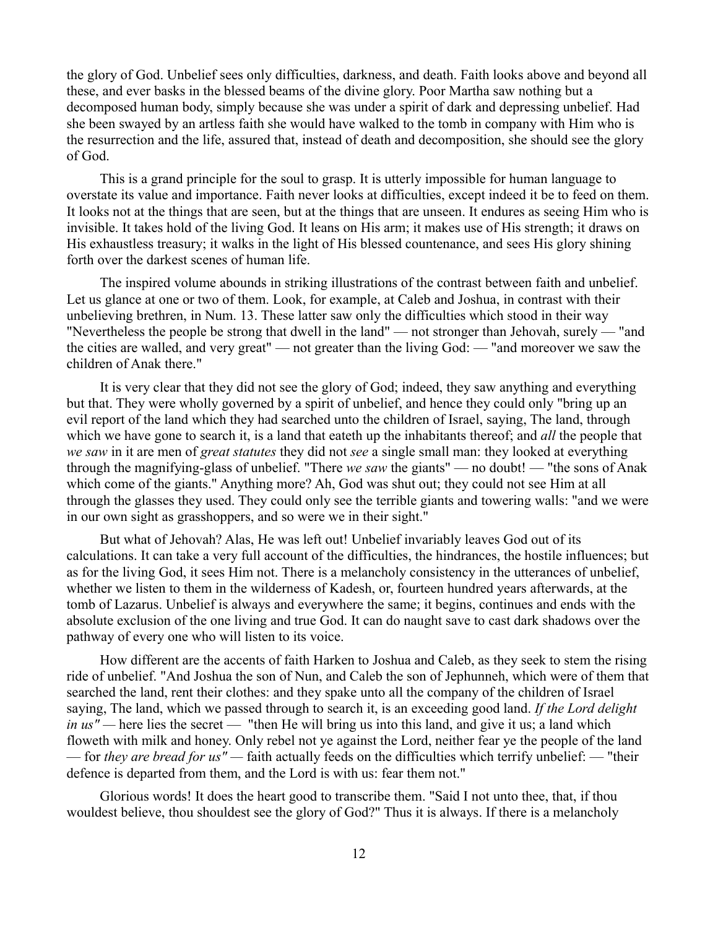the glory of God. Unbelief sees only difficulties, darkness, and death. Faith looks above and beyond all these, and ever basks in the blessed beams of the divine glory. Poor Martha saw nothing but a decomposed human body, simply because she was under a spirit of dark and depressing unbelief. Had she been swayed by an artless faith she would have walked to the tomb in company with Him who is the resurrection and the life, assured that, instead of death and decomposition, she should see the glory of God.

This is a grand principle for the soul to grasp. It is utterly impossible for human language to overstate its value and importance. Faith never looks at difficulties, except indeed it be to feed on them. It looks not at the things that are seen, but at the things that are unseen. It endures as seeing Him who is invisible. It takes hold of the living God. It leans on His arm; it makes use of His strength; it draws on His exhaustless treasury; it walks in the light of His blessed countenance, and sees His glory shining forth over the darkest scenes of human life.

The inspired volume abounds in striking illustrations of the contrast between faith and unbelief. Let us glance at one or two of them. Look, for example, at Caleb and Joshua, in contrast with their unbelieving brethren, in Num. 13. These latter saw only the difficulties which stood in their way "Nevertheless the people be strong that dwell in the land" — not stronger than Jehovah, surely — "and the cities are walled, and very great" — not greater than the living God: — "and moreover we saw the children of Anak there."

It is very clear that they did not see the glory of God; indeed, they saw anything and everything but that. They were wholly governed by a spirit of unbelief, and hence they could only "bring up an evil report of the land which they had searched unto the children of Israel, saying, The land, through which we have gone to search it, is a land that eateth up the inhabitants thereof; and *all* the people that *we saw* in it are men of *great statutes* they did not *see* a single small man: they looked at everything through the magnifying-glass of unbelief. "There *we saw* the giants" — no doubt! — "the sons of Anak which come of the giants." Anything more? Ah, God was shut out; they could not see Him at all through the glasses they used. They could only see the terrible giants and towering walls: "and we were in our own sight as grasshoppers, and so were we in their sight."

But what of Jehovah? Alas, He was left out! Unbelief invariably leaves God out of its calculations. It can take a very full account of the difficulties, the hindrances, the hostile influences; but as for the living God, it sees Him not. There is a melancholy consistency in the utterances of unbelief, whether we listen to them in the wilderness of Kadesh, or, fourteen hundred years afterwards, at the tomb of Lazarus. Unbelief is always and everywhere the same; it begins, continues and ends with the absolute exclusion of the one living and true God. It can do naught save to cast dark shadows over the pathway of every one who will listen to its voice.

How different are the accents of faith Harken to Joshua and Caleb, as they seek to stem the rising ride of unbelief. "And Joshua the son of Nun, and Caleb the son of Jephunneh, which were of them that searched the land, rent their clothes: and they spake unto all the company of the children of Israel saying, The land, which we passed through to search it, is an exceeding good land. *If the Lord delight in us*" — here lies the secret — "then He will bring us into this land, and give it us; a land which floweth with milk and honey. Only rebel not ye against the Lord, neither fear ye the people of the land — for *they are bread for us" —* faith actually feeds on the difficulties which terrify unbelief: — "their defence is departed from them, and the Lord is with us: fear them not."

Glorious words! It does the heart good to transcribe them. "Said I not unto thee, that, if thou wouldest believe, thou shouldest see the glory of God?" Thus it is always. If there is a melancholy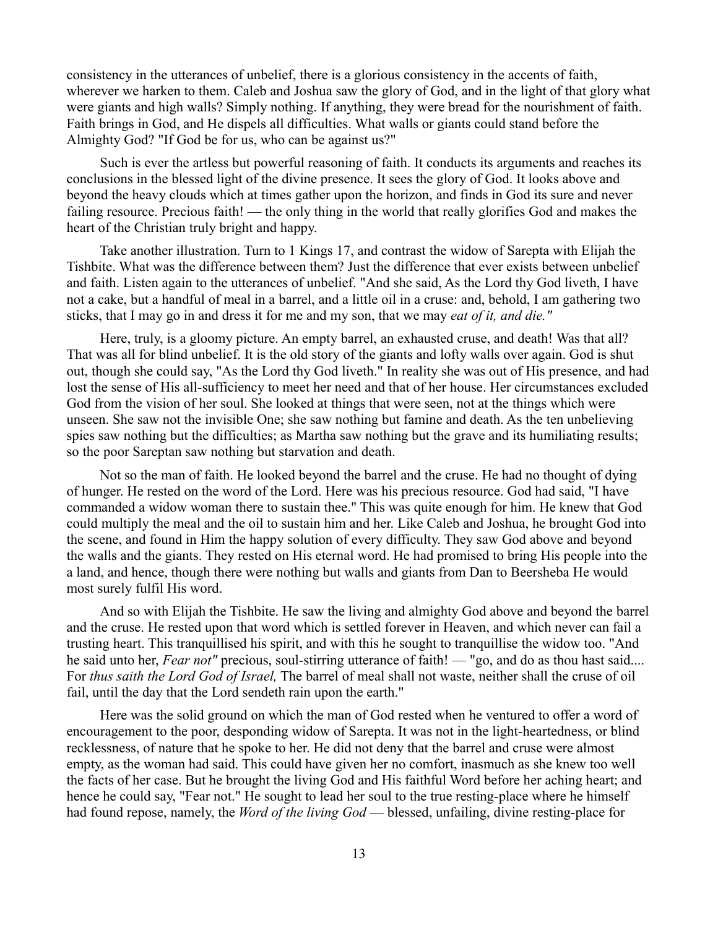consistency in the utterances of unbelief, there is a glorious consistency in the accents of faith, wherever we harken to them. Caleb and Joshua saw the glory of God, and in the light of that glory what were giants and high walls? Simply nothing. If anything, they were bread for the nourishment of faith. Faith brings in God, and He dispels all difficulties. What walls or giants could stand before the Almighty God? "If God be for us, who can be against us?"

Such is ever the artless but powerful reasoning of faith. It conducts its arguments and reaches its conclusions in the blessed light of the divine presence. It sees the glory of God. It looks above and beyond the heavy clouds which at times gather upon the horizon, and finds in God its sure and never failing resource. Precious faith! — the only thing in the world that really glorifies God and makes the heart of the Christian truly bright and happy.

Take another illustration. Turn to 1 Kings 17, and contrast the widow of Sarepta with Elijah the Tishbite. What was the difference between them? Just the difference that ever exists between unbelief and faith. Listen again to the utterances of unbelief. "And she said, As the Lord thy God liveth, I have not a cake, but a handful of meal in a barrel, and a little oil in a cruse: and, behold, I am gathering two sticks, that I may go in and dress it for me and my son, that we may *eat of it, and die."*

Here, truly, is a gloomy picture. An empty barrel, an exhausted cruse, and death! Was that all? That was all for blind unbelief. It is the old story of the giants and lofty walls over again. God is shut out, though she could say, "As the Lord thy God liveth." In reality she was out of His presence, and had lost the sense of His all-sufficiency to meet her need and that of her house. Her circumstances excluded God from the vision of her soul. She looked at things that were seen, not at the things which were unseen. She saw not the invisible One; she saw nothing but famine and death. As the ten unbelieving spies saw nothing but the difficulties; as Martha saw nothing but the grave and its humiliating results; so the poor Sareptan saw nothing but starvation and death.

Not so the man of faith. He looked beyond the barrel and the cruse. He had no thought of dying of hunger. He rested on the word of the Lord. Here was his precious resource. God had said, "I have commanded a widow woman there to sustain thee." This was quite enough for him. He knew that God could multiply the meal and the oil to sustain him and her. Like Caleb and Joshua, he brought God into the scene, and found in Him the happy solution of every difficulty. They saw God above and beyond the walls and the giants. They rested on His eternal word. He had promised to bring His people into the a land, and hence, though there were nothing but walls and giants from Dan to Beersheba He would most surely fulfil His word.

And so with Elijah the Tishbite. He saw the living and almighty God above and beyond the barrel and the cruse. He rested upon that word which is settled forever in Heaven, and which never can fail a trusting heart. This tranquillised his spirit, and with this he sought to tranquillise the widow too. "And he said unto her, *Fear not*" precious, soul-stirring utterance of faith! — "go, and do as thou hast said.... For *thus saith the Lord God of Israel,* The barrel of meal shall not waste, neither shall the cruse of oil fail, until the day that the Lord sendeth rain upon the earth."

Here was the solid ground on which the man of God rested when he ventured to offer a word of encouragement to the poor, desponding widow of Sarepta. It was not in the light-heartedness, or blind recklessness, of nature that he spoke to her. He did not deny that the barrel and cruse were almost empty, as the woman had said. This could have given her no comfort, inasmuch as she knew too well the facts of her case. But he brought the living God and His faithful Word before her aching heart; and hence he could say, "Fear not." He sought to lead her soul to the true resting-place where he himself had found repose, namely, the *Word of the living God* — blessed, unfailing, divine resting-place for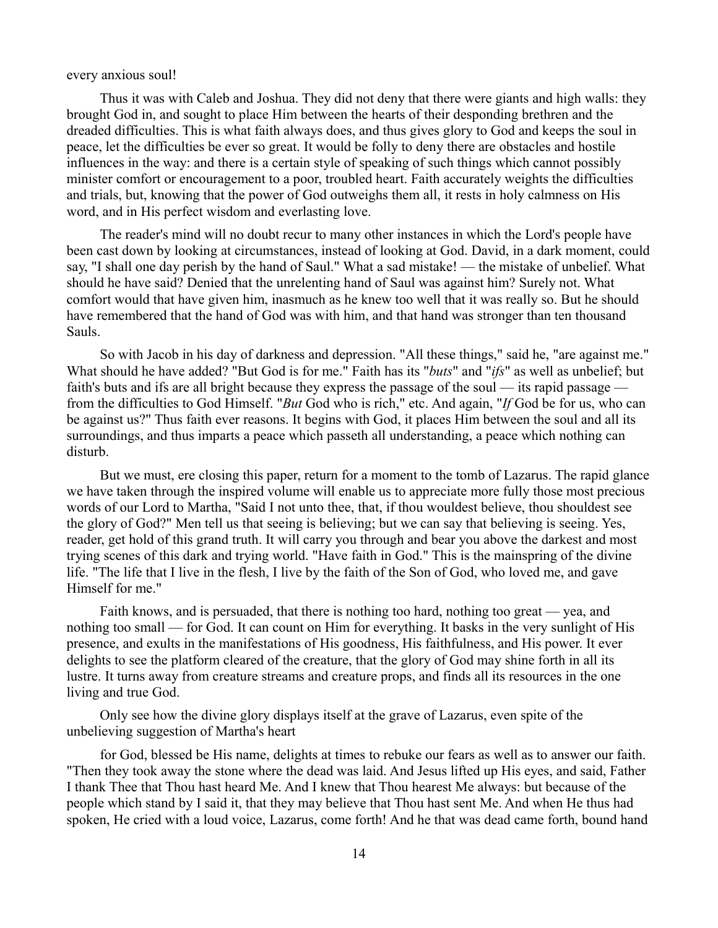every anxious soul!

Thus it was with Caleb and Joshua. They did not deny that there were giants and high walls: they brought God in, and sought to place Him between the hearts of their desponding brethren and the dreaded difficulties. This is what faith always does, and thus gives glory to God and keeps the soul in peace, let the difficulties be ever so great. It would be folly to deny there are obstacles and hostile influences in the way: and there is a certain style of speaking of such things which cannot possibly minister comfort or encouragement to a poor, troubled heart. Faith accurately weights the difficulties and trials, but, knowing that the power of God outweighs them all, it rests in holy calmness on His word, and in His perfect wisdom and everlasting love.

The reader's mind will no doubt recur to many other instances in which the Lord's people have been cast down by looking at circumstances, instead of looking at God. David, in a dark moment, could say, "I shall one day perish by the hand of Saul." What a sad mistake! — the mistake of unbelief. What should he have said? Denied that the unrelenting hand of Saul was against him? Surely not. What comfort would that have given him, inasmuch as he knew too well that it was really so. But he should have remembered that the hand of God was with him, and that hand was stronger than ten thousand Sauls.

So with Jacob in his day of darkness and depression. "All these things," said he, "are against me." What should he have added? "But God is for me." Faith has its "*buts*" and "*ifs*" as well as unbelief; but faith's buts and ifs are all bright because they express the passage of the soul — its rapid passage from the difficulties to God Himself. "*But* God who is rich," etc. And again, "*If* God be for us, who can be against us?" Thus faith ever reasons. It begins with God, it places Him between the soul and all its surroundings, and thus imparts a peace which passeth all understanding, a peace which nothing can disturb.

But we must, ere closing this paper, return for a moment to the tomb of Lazarus. The rapid glance we have taken through the inspired volume will enable us to appreciate more fully those most precious words of our Lord to Martha, "Said I not unto thee, that, if thou wouldest believe, thou shouldest see the glory of God?" Men tell us that seeing is believing; but we can say that believing is seeing. Yes, reader, get hold of this grand truth. It will carry you through and bear you above the darkest and most trying scenes of this dark and trying world. "Have faith in God." This is the mainspring of the divine life. "The life that I live in the flesh, I live by the faith of the Son of God, who loved me, and gave Himself for me."

Faith knows, and is persuaded, that there is nothing too hard, nothing too great — yea, and nothing too small — for God. It can count on Him for everything. It basks in the very sunlight of His presence, and exults in the manifestations of His goodness, His faithfulness, and His power. It ever delights to see the platform cleared of the creature, that the glory of God may shine forth in all its lustre. It turns away from creature streams and creature props, and finds all its resources in the one living and true God.

Only see how the divine glory displays itself at the grave of Lazarus, even spite of the unbelieving suggestion of Martha's heart

for God, blessed be His name, delights at times to rebuke our fears as well as to answer our faith. "Then they took away the stone where the dead was laid. And Jesus lifted up His eyes, and said, Father I thank Thee that Thou hast heard Me. And I knew that Thou hearest Me always: but because of the people which stand by I said it, that they may believe that Thou hast sent Me. And when He thus had spoken, He cried with a loud voice, Lazarus, come forth! And he that was dead came forth, bound hand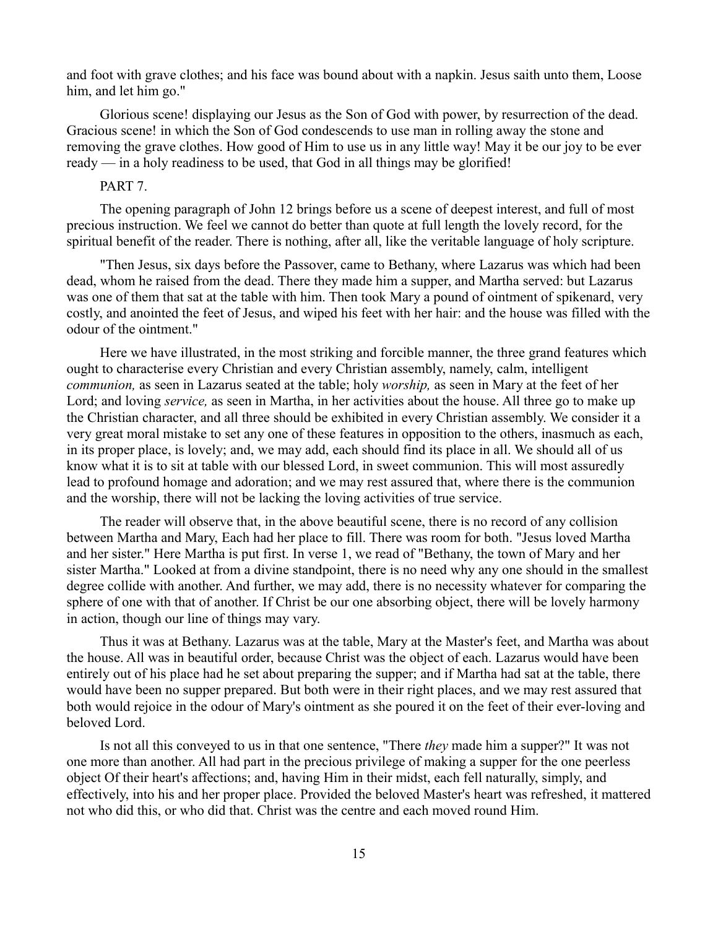and foot with grave clothes; and his face was bound about with a napkin. Jesus saith unto them, Loose him, and let him go."

Glorious scene! displaying our Jesus as the Son of God with power, by resurrection of the dead. Gracious scene! in which the Son of God condescends to use man in rolling away the stone and removing the grave clothes. How good of Him to use us in any little way! May it be our joy to be ever ready — in a holy readiness to be used, that God in all things may be glorified!

### PART 7.

The opening paragraph of John 12 brings before us a scene of deepest interest, and full of most precious instruction. We feel we cannot do better than quote at full length the lovely record, for the spiritual benefit of the reader. There is nothing, after all, like the veritable language of holy scripture.

"Then Jesus, six days before the Passover, came to Bethany, where Lazarus was which had been dead, whom he raised from the dead. There they made him a supper, and Martha served: but Lazarus was one of them that sat at the table with him. Then took Mary a pound of ointment of spikenard, very costly, and anointed the feet of Jesus, and wiped his feet with her hair: and the house was filled with the odour of the ointment."

Here we have illustrated, in the most striking and forcible manner, the three grand features which ought to characterise every Christian and every Christian assembly, namely, calm, intelligent *communion,* as seen in Lazarus seated at the table; holy *worship,* as seen in Mary at the feet of her Lord; and loving *service,* as seen in Martha, in her activities about the house. All three go to make up the Christian character, and all three should be exhibited in every Christian assembly. We consider it a very great moral mistake to set any one of these features in opposition to the others, inasmuch as each, in its proper place, is lovely; and, we may add, each should find its place in all. We should all of us know what it is to sit at table with our blessed Lord, in sweet communion. This will most assuredly lead to profound homage and adoration; and we may rest assured that, where there is the communion and the worship, there will not be lacking the loving activities of true service.

The reader will observe that, in the above beautiful scene, there is no record of any collision between Martha and Mary, Each had her place to fill. There was room for both. "Jesus loved Martha and her sister." Here Martha is put first. In verse 1, we read of "Bethany, the town of Mary and her sister Martha." Looked at from a divine standpoint, there is no need why any one should in the smallest degree collide with another. And further, we may add, there is no necessity whatever for comparing the sphere of one with that of another. If Christ be our one absorbing object, there will be lovely harmony in action, though our line of things may vary.

Thus it was at Bethany. Lazarus was at the table, Mary at the Master's feet, and Martha was about the house. All was in beautiful order, because Christ was the object of each. Lazarus would have been entirely out of his place had he set about preparing the supper; and if Martha had sat at the table, there would have been no supper prepared. But both were in their right places, and we may rest assured that both would rejoice in the odour of Mary's ointment as she poured it on the feet of their ever-loving and beloved Lord.

Is not all this conveyed to us in that one sentence, "There *they* made him a supper?" It was not one more than another. All had part in the precious privilege of making a supper for the one peerless object Of their heart's affections; and, having Him in their midst, each fell naturally, simply, and effectively, into his and her proper place. Provided the beloved Master's heart was refreshed, it mattered not who did this, or who did that. Christ was the centre and each moved round Him.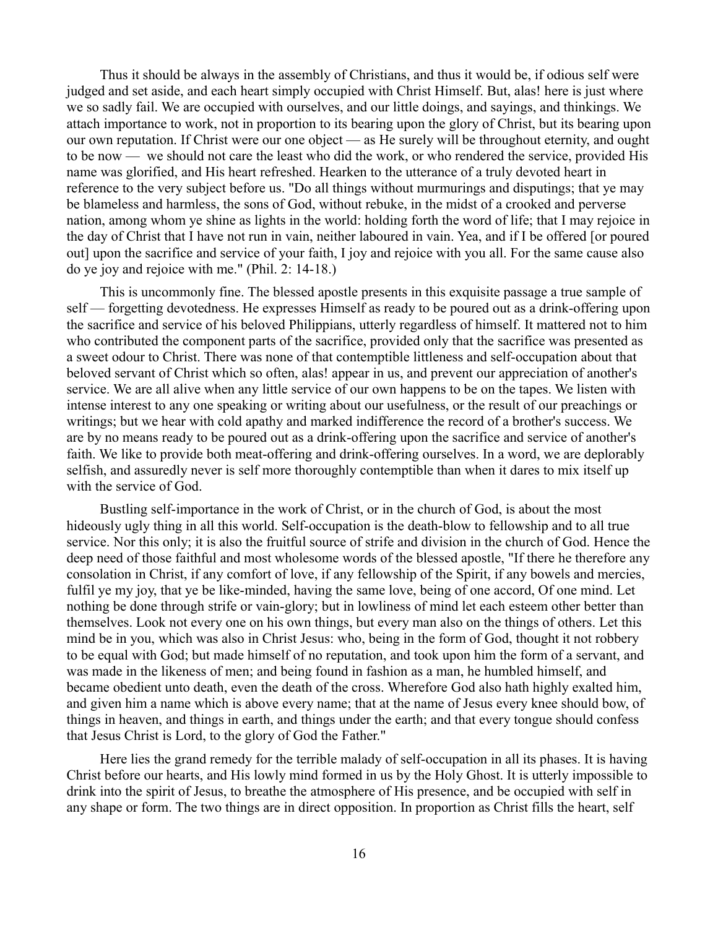Thus it should be always in the assembly of Christians, and thus it would be, if odious self were judged and set aside, and each heart simply occupied with Christ Himself. But, alas! here is just where we so sadly fail. We are occupied with ourselves, and our little doings, and sayings, and thinkings. We attach importance to work, not in proportion to its bearing upon the glory of Christ, but its bearing upon our own reputation. If Christ were our one object — as He surely will be throughout eternity, and ought to be now — we should not care the least who did the work, or who rendered the service, provided His name was glorified, and His heart refreshed. Hearken to the utterance of a truly devoted heart in reference to the very subject before us. "Do all things without murmurings and disputings; that ye may be blameless and harmless, the sons of God, without rebuke, in the midst of a crooked and perverse nation, among whom ye shine as lights in the world: holding forth the word of life; that I may rejoice in the day of Christ that I have not run in vain, neither laboured in vain. Yea, and if I be offered [or poured out] upon the sacrifice and service of your faith, I joy and rejoice with you all. For the same cause also do ye joy and rejoice with me." (Phil. 2: 14-18.)

This is uncommonly fine. The blessed apostle presents in this exquisite passage a true sample of self — forgetting devotedness. He expresses Himself as ready to be poured out as a drink-offering upon the sacrifice and service of his beloved Philippians, utterly regardless of himself. It mattered not to him who contributed the component parts of the sacrifice, provided only that the sacrifice was presented as a sweet odour to Christ. There was none of that contemptible littleness and self-occupation about that beloved servant of Christ which so often, alas! appear in us, and prevent our appreciation of another's service. We are all alive when any little service of our own happens to be on the tapes. We listen with intense interest to any one speaking or writing about our usefulness, or the result of our preachings or writings; but we hear with cold apathy and marked indifference the record of a brother's success. We are by no means ready to be poured out as a drink-offering upon the sacrifice and service of another's faith. We like to provide both meat-offering and drink-offering ourselves. In a word, we are deplorably selfish, and assuredly never is self more thoroughly contemptible than when it dares to mix itself up with the service of God.

Bustling self-importance in the work of Christ, or in the church of God, is about the most hideously ugly thing in all this world. Self-occupation is the death-blow to fellowship and to all true service. Nor this only; it is also the fruitful source of strife and division in the church of God. Hence the deep need of those faithful and most wholesome words of the blessed apostle, "If there he therefore any consolation in Christ, if any comfort of love, if any fellowship of the Spirit, if any bowels and mercies, fulfil ye my joy, that ye be like-minded, having the same love, being of one accord, Of one mind. Let nothing be done through strife or vain-glory; but in lowliness of mind let each esteem other better than themselves. Look not every one on his own things, but every man also on the things of others. Let this mind be in you, which was also in Christ Jesus: who, being in the form of God, thought it not robbery to be equal with God; but made himself of no reputation, and took upon him the form of a servant, and was made in the likeness of men; and being found in fashion as a man, he humbled himself, and became obedient unto death, even the death of the cross. Wherefore God also hath highly exalted him, and given him a name which is above every name; that at the name of Jesus every knee should bow, of things in heaven, and things in earth, and things under the earth; and that every tongue should confess that Jesus Christ is Lord, to the glory of God the Father."

Here lies the grand remedy for the terrible malady of self-occupation in all its phases. It is having Christ before our hearts, and His lowly mind formed in us by the Holy Ghost. It is utterly impossible to drink into the spirit of Jesus, to breathe the atmosphere of His presence, and be occupied with self in any shape or form. The two things are in direct opposition. In proportion as Christ fills the heart, self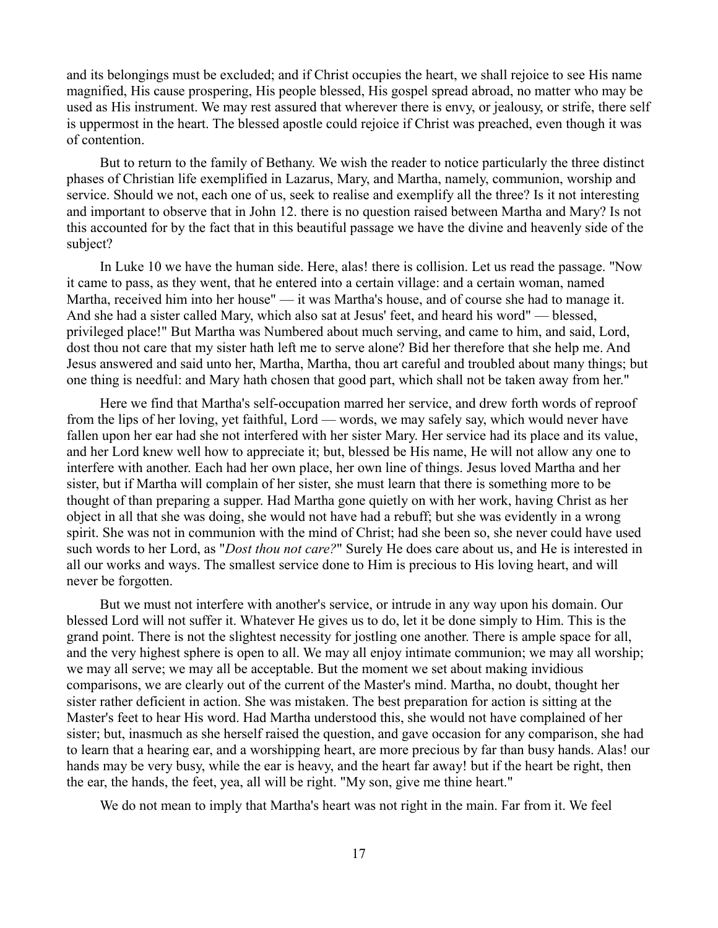and its belongings must be excluded; and if Christ occupies the heart, we shall rejoice to see His name magnified, His cause prospering, His people blessed, His gospel spread abroad, no matter who may be used as His instrument. We may rest assured that wherever there is envy, or jealousy, or strife, there self is uppermost in the heart. The blessed apostle could rejoice if Christ was preached, even though it was of contention.

But to return to the family of Bethany. We wish the reader to notice particularly the three distinct phases of Christian life exemplified in Lazarus, Mary, and Martha, namely, communion, worship and service. Should we not, each one of us, seek to realise and exemplify all the three? Is it not interesting and important to observe that in John 12. there is no question raised between Martha and Mary? Is not this accounted for by the fact that in this beautiful passage we have the divine and heavenly side of the subject?

In Luke 10 we have the human side. Here, alas! there is collision. Let us read the passage. "Now it came to pass, as they went, that he entered into a certain village: and a certain woman, named Martha, received him into her house" — it was Martha's house, and of course she had to manage it. And she had a sister called Mary, which also sat at Jesus' feet, and heard his word" — blessed, privileged place!" But Martha was Numbered about much serving, and came to him, and said, Lord, dost thou not care that my sister hath left me to serve alone? Bid her therefore that she help me. And Jesus answered and said unto her, Martha, Martha, thou art careful and troubled about many things; but one thing is needful: and Mary hath chosen that good part, which shall not be taken away from her."

Here we find that Martha's self-occupation marred her service, and drew forth words of reproof from the lips of her loving, yet faithful, Lord — words, we may safely say, which would never have fallen upon her ear had she not interfered with her sister Mary. Her service had its place and its value, and her Lord knew well how to appreciate it; but, blessed be His name, He will not allow any one to interfere with another. Each had her own place, her own line of things. Jesus loved Martha and her sister, but if Martha will complain of her sister, she must learn that there is something more to be thought of than preparing a supper. Had Martha gone quietly on with her work, having Christ as her object in all that she was doing, she would not have had a rebuff; but she was evidently in a wrong spirit. She was not in communion with the mind of Christ; had she been so, she never could have used such words to her Lord, as "*Dost thou not care?*" Surely He does care about us, and He is interested in all our works and ways. The smallest service done to Him is precious to His loving heart, and will never be forgotten.

But we must not interfere with another's service, or intrude in any way upon his domain. Our blessed Lord will not suffer it. Whatever He gives us to do, let it be done simply to Him. This is the grand point. There is not the slightest necessity for jostling one another. There is ample space for all, and the very highest sphere is open to all. We may all enjoy intimate communion; we may all worship; we may all serve; we may all be acceptable. But the moment we set about making invidious comparisons, we are clearly out of the current of the Master's mind. Martha, no doubt, thought her sister rather deficient in action. She was mistaken. The best preparation for action is sitting at the Master's feet to hear His word. Had Martha understood this, she would not have complained of her sister; but, inasmuch as she herself raised the question, and gave occasion for any comparison, she had to learn that a hearing ear, and a worshipping heart, are more precious by far than busy hands. Alas! our hands may be very busy, while the ear is heavy, and the heart far away! but if the heart be right, then the ear, the hands, the feet, yea, all will be right. "My son, give me thine heart."

We do not mean to imply that Martha's heart was not right in the main. Far from it. We feel